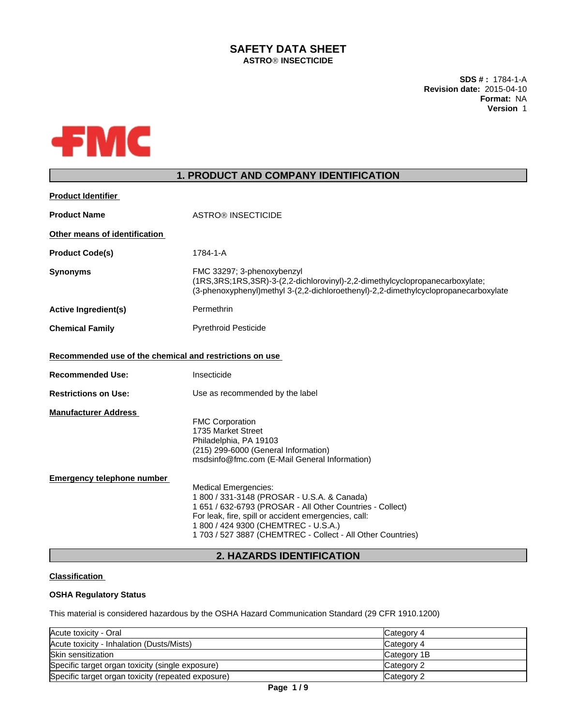# **SAFETY DATA SHEET ASTROÒ INSECTICIDE**

**SDS # :** 1784-1-A **Revision date:** 2015-04-10 **Format:** NA **Version** 1



# **1. PRODUCT AND COMPANY IDENTIFICATION**

| <b>Product Identifier</b>                                        |                                                                                                                                                                                                                                               |
|------------------------------------------------------------------|-----------------------------------------------------------------------------------------------------------------------------------------------------------------------------------------------------------------------------------------------|
| <b>Product Name</b>                                              | <b>ASTRO® INSECTICIDE</b>                                                                                                                                                                                                                     |
| Other means of identification                                    |                                                                                                                                                                                                                                               |
| <b>Product Code(s)</b>                                           | 1784-1-A                                                                                                                                                                                                                                      |
| <b>Synonyms</b>                                                  | FMC 33297; 3-phenoxybenzyl<br>(1RS, 3RS; 1RS, 3SR)-3-(2, 2-dichlorovinyl)-2, 2-dimethylcyclopropanecarboxylate;<br>(3-phenoxyphenyl)methyl 3-(2,2-dichloroethenyl)-2,2-dimethylcyclopropanecarboxylate                                        |
| <b>Active Ingredient(s)</b>                                      | Permethrin                                                                                                                                                                                                                                    |
| <b>Chemical Family</b>                                           | <b>Pyrethroid Pesticide</b>                                                                                                                                                                                                                   |
| Recommended use of the chemical and restrictions on use          |                                                                                                                                                                                                                                               |
| <b>Recommended Use:</b>                                          | Insecticide                                                                                                                                                                                                                                   |
| <b>Restrictions on Use:</b>                                      | Use as recommended by the label                                                                                                                                                                                                               |
| <b>Manufacturer Address</b><br><b>Emergency telephone number</b> | <b>FMC Corporation</b><br>1735 Market Street<br>Philadelphia, PA 19103<br>(215) 299-6000 (General Information)<br>msdsinfo@fmc.com (E-Mail General Information)<br><b>Medical Emergencies:</b><br>1 800 / 331-3148 (PROSAR - U.S.A. & Canada) |
|                                                                  | 1 651 / 632-6793 (PROSAR - All Other Countries - Collect)<br>For leak, fire, spill or accident emergencies, call:<br>1 800 / 424 9300 (CHEMTREC - U.S.A.)<br>1703 / 527 3887 (CHEMTREC - Collect - All Other Countries)                       |
|                                                                  | <b>2. HAZARDS IDENTIFICATION</b>                                                                                                                                                                                                              |

# **Classification**

# **OSHA Regulatory Status**

This material is considered hazardous by the OSHA Hazard Communication Standard (29 CFR 1910.1200)

| Acute toxicity - Oral                              | Category 4  |
|----------------------------------------------------|-------------|
| Acute toxicity - Inhalation (Dusts/Mists)          | Category 4  |
| Skin sensitization                                 | Category 1B |
| Specific target organ toxicity (single exposure)   | Category 2  |
| Specific target organ toxicity (repeated exposure) | Category 2  |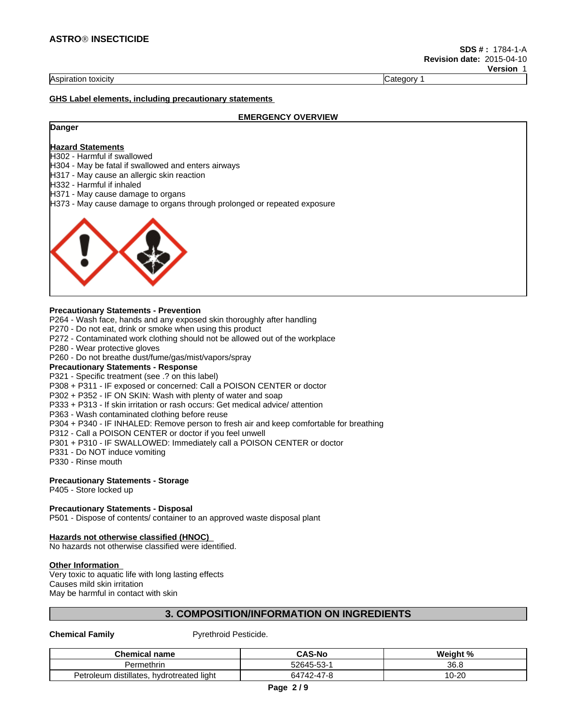#### Aspiration toxicity **Category 1** and the contract of the contract of the contract of the contract of the contract of the contract of the contract of the contract of the contract of the contract of the contract of the contr

#### **GHS Label elements, including precautionary statements**

#### **EMERGENCY OVERVIEW**

# **Danger**

### **Hazard Statements**

H302 - Harmful if swallowed

H304 - May be fatal if swallowed and enters airways

H317 - May cause an allergic skin reaction

H332 - Harmful if inhaled

H371 - May cause damage to organs

H373 - May cause damage to organs through prolonged or repeated exposure



### **Precautionary Statements - Prevention**

P264 - Wash face, hands and any exposed skin thoroughly after handling

P270 - Do not eat, drink or smoke when using this product

P272 - Contaminated work clothing should not be allowed out of the workplace

P280 - Wear protective gloves

P260 - Do not breathe dust/fume/gas/mist/vapors/spray

### **Precautionary Statements - Response**

P321 - Specific treatment (see .? on this label)

P308 + P311 - IF exposed or concerned: Call a POISON CENTER or doctor

P302 + P352 - IF ON SKIN: Wash with plenty of water and soap

P333 + P313 - If skin irritation or rash occurs: Get medical advice/ attention

P363 - Wash contaminated clothing before reuse

P304 + P340 - IF INHALED: Remove person to fresh air and keep comfortable for breathing

P312 - Call a POISON CENTER or doctor if you feel unwell

P301 + P310 - IF SWALLOWED: Immediately call a POISON CENTER or doctor

P331 - Do NOT induce vomiting

P330 - Rinse mouth

### **Precautionary Statements - Storage**

P405 - Store locked up

### **Precautionary Statements - Disposal**

P501 - Dispose of contents/ container to an approved waste disposal plant

### **Hazards not otherwise classified (HNOC)**

No hazards not otherwise classified were identified.

## **Other Information**

Very toxic to aquatic life with long lasting effects Causes mild skin irritation May be harmful in contact with skin

# **3. COMPOSITION/INFORMATION ON INGREDIENTS**

### **Chemical Family** Pyrethroid Pesticide.

| <b>Chemical name</b>                                        | CAS-No                                  | <br>$\bullet$ 0<br>weiah.<br>70 |
|-------------------------------------------------------------|-----------------------------------------|---------------------------------|
| Permethrin                                                  | $\sim$<br>$\sqrt{2}$<br>ノドム・<br>--<br>ື | 36 B<br>ას.ს                    |
| .<br>roleum distillates<br>hvdrotreated light<br>Petro<br>ີ | ~"                                      | $\overline{a}$<br>I ∪-ZU        |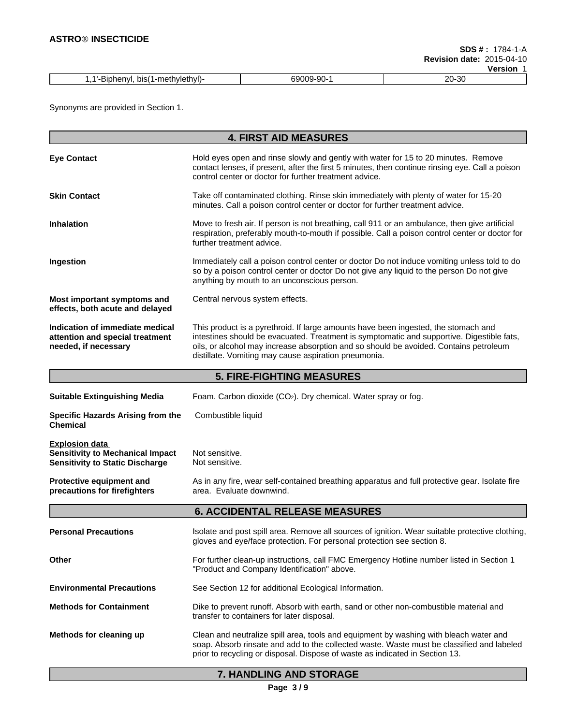|                                                         |                           | $\lambda$        |
|---------------------------------------------------------|---------------------------|------------------|
| i-methvieth:<br>л.<br>bis(<br>nv<br>711711-<br>_<br>. . | $-90-$<br>∩Q<br>∼<br>$ -$ | 20-30<br>า∩<br>. |

Synonyms are provided in Section 1.

|                                                                                                            | <b>4. FIRST AID MEASURES</b>                                                                                                                                                                                                                                                                                                     |
|------------------------------------------------------------------------------------------------------------|----------------------------------------------------------------------------------------------------------------------------------------------------------------------------------------------------------------------------------------------------------------------------------------------------------------------------------|
|                                                                                                            |                                                                                                                                                                                                                                                                                                                                  |
| <b>Eye Contact</b>                                                                                         | Hold eyes open and rinse slowly and gently with water for 15 to 20 minutes. Remove<br>contact lenses, if present, after the first 5 minutes, then continue rinsing eye. Call a poison<br>control center or doctor for further treatment advice.                                                                                  |
| <b>Skin Contact</b>                                                                                        | Take off contaminated clothing. Rinse skin immediately with plenty of water for 15-20<br>minutes. Call a poison control center or doctor for further treatment advice.                                                                                                                                                           |
| <b>Inhalation</b>                                                                                          | Move to fresh air. If person is not breathing, call 911 or an ambulance, then give artificial<br>respiration, preferably mouth-to-mouth if possible. Call a poison control center or doctor for<br>further treatment advice.                                                                                                     |
| Ingestion                                                                                                  | Immediately call a poison control center or doctor Do not induce vomiting unless told to do<br>so by a poison control center or doctor Do not give any liquid to the person Do not give<br>anything by mouth to an unconscious person.                                                                                           |
| Most important symptoms and<br>effects, both acute and delayed                                             | Central nervous system effects.                                                                                                                                                                                                                                                                                                  |
| Indication of immediate medical<br>attention and special treatment<br>needed, if necessary                 | This product is a pyrethroid. If large amounts have been ingested, the stomach and<br>intestines should be evacuated. Treatment is symptomatic and supportive. Digestible fats,<br>oils, or alcohol may increase absorption and so should be avoided. Contains petroleum<br>distillate. Vomiting may cause aspiration pneumonia. |
|                                                                                                            | <b>5. FIRE-FIGHTING MEASURES</b>                                                                                                                                                                                                                                                                                                 |
| <b>Suitable Extinguishing Media</b>                                                                        | Foam. Carbon dioxide (CO <sub>2</sub> ). Dry chemical. Water spray or fog.                                                                                                                                                                                                                                                       |
| Specific Hazards Arising from the<br><b>Chemical</b>                                                       | Combustible liquid                                                                                                                                                                                                                                                                                                               |
| <b>Explosion data</b><br><b>Sensitivity to Mechanical Impact</b><br><b>Sensitivity to Static Discharge</b> | Not sensitive.<br>Not sensitive.                                                                                                                                                                                                                                                                                                 |
| Protective equipment and<br>precautions for firefighters                                                   | As in any fire, wear self-contained breathing apparatus and full protective gear. Isolate fire<br>area. Evaluate downwind.                                                                                                                                                                                                       |
|                                                                                                            | <b>6. ACCIDENTAL RELEASE MEASURES</b>                                                                                                                                                                                                                                                                                            |
| <b>Personal Precautions</b>                                                                                | Isolate and post spill area. Remove all sources of ignition. Wear suitable protective clothing,<br>gloves and eye/face protection. For personal protection see section 8.                                                                                                                                                        |
| Other                                                                                                      | For further clean-up instructions, call FMC Emergency Hotline number listed in Section 1<br>"Product and Company Identification" above.                                                                                                                                                                                          |
| <b>Environmental Precautions</b>                                                                           | See Section 12 for additional Ecological Information.                                                                                                                                                                                                                                                                            |
| <b>Methods for Containment</b>                                                                             | Dike to prevent runoff. Absorb with earth, sand or other non-combustible material and<br>transfer to containers for later disposal.                                                                                                                                                                                              |
| Methods for cleaning up                                                                                    | Clean and neutralize spill area, tools and equipment by washing with bleach water and<br>soap. Absorb rinsate and add to the collected waste. Waste must be classified and labeled<br>prior to recycling or disposal. Dispose of waste as indicated in Section 13.                                                               |

# **7. HANDLING AND STORAGE**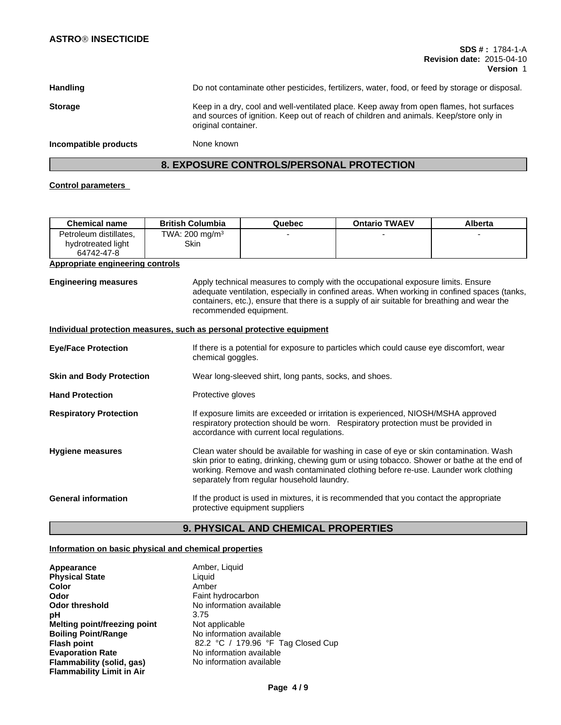| Handling              | Do not contaminate other pesticides, fertilizers, water, food, or feed by storage or disposal.                                                                                                           |
|-----------------------|----------------------------------------------------------------------------------------------------------------------------------------------------------------------------------------------------------|
| <b>Storage</b>        | Keep in a dry, cool and well-ventilated place. Keep away from open flames, hot surfaces<br>and sources of ignition. Keep out of reach of children and animals. Keep/store only in<br>original container. |
| Incompatible products | None known                                                                                                                                                                                               |

# **8. EXPOSURE CONTROLS/PERSONAL PROTECTION**

# **Control parameters**

| Chemical name                                              | <b>British Columbia</b>            | Quebec | <b>Ontario TWAEV</b> | Alberta |
|------------------------------------------------------------|------------------------------------|--------|----------------------|---------|
| Petroleum distillates.<br>hydrotreated light<br>64742-47-8 | TWA: 200 mg/m <sup>3</sup><br>Skin |        |                      |         |

## **Appropriate engineering controls**

**Engineering measures** Apply technical measures to comply with the occupational exposure limits. Ensure adequate ventilation, especially in confined areas. When working in confined spaces (tanks, containers, etc.), ensure that there is a supply of air suitable for breathing and wear the recommended equipment.

## **Individual protection measures, such as personal protective equipment**

| <b>Eye/Face Protection</b>      | If there is a potential for exposure to particles which could cause eye discomfort, wear<br>chemical goggles.                                                                                                                                                                                                              |
|---------------------------------|----------------------------------------------------------------------------------------------------------------------------------------------------------------------------------------------------------------------------------------------------------------------------------------------------------------------------|
| <b>Skin and Body Protection</b> | Wear long-sleeved shirt, long pants, socks, and shoes.                                                                                                                                                                                                                                                                     |
| <b>Hand Protection</b>          | Protective gloves                                                                                                                                                                                                                                                                                                          |
| <b>Respiratory Protection</b>   | If exposure limits are exceeded or irritation is experienced, NIOSH/MSHA approved<br>respiratory protection should be worn. Respiratory protection must be provided in<br>accordance with current local regulations.                                                                                                       |
| <b>Hygiene measures</b>         | Clean water should be available for washing in case of eye or skin contamination. Wash<br>skin prior to eating, drinking, chewing gum or using tobacco. Shower or bathe at the end of<br>working. Remove and wash contaminated clothing before re-use. Launder work clothing<br>separately from regular household laundry. |
| <b>General information</b>      | If the product is used in mixtures, it is recommended that you contact the appropriate<br>protective equipment suppliers                                                                                                                                                                                                   |

# **9. PHYSICAL AND CHEMICAL PROPERTIES**

# **Information on basic physical and chemical properties**

| Appearance                       | Amber, Liquid                      |
|----------------------------------|------------------------------------|
| <b>Physical State</b>            | Liauid                             |
| Color                            | Amber                              |
| Odor                             | Faint hydrocarbon                  |
| <b>Odor threshold</b>            | No information available           |
| рH                               | 3.75                               |
| Melting point/freezing point     | Not applicable                     |
| <b>Boiling Point/Range</b>       | No information available           |
| <b>Flash point</b>               | 82.2 °C / 179.96 °F Tag Closed Cup |
| <b>Evaporation Rate</b>          | No information available           |
| Flammability (solid, gas)        | No information available           |
| <b>Flammability Limit in Air</b> |                                    |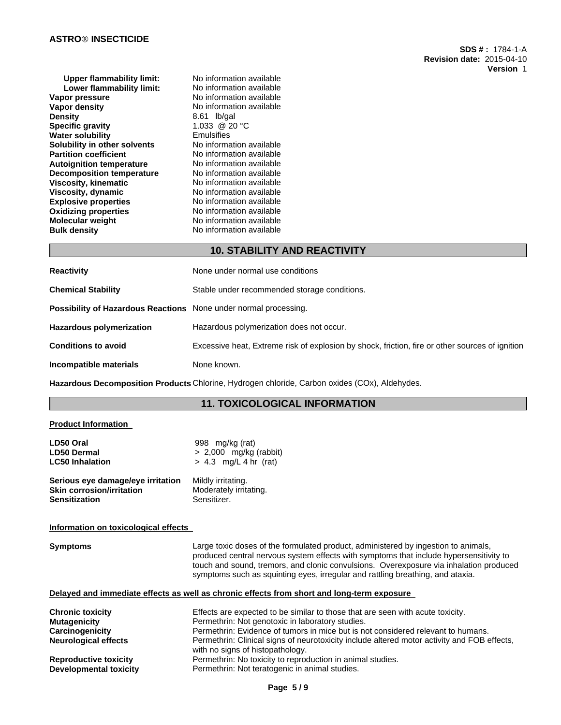| <b>Upper flammability limit:</b> | No information available |
|----------------------------------|--------------------------|
| Lower flammability limit:        | No information available |
| Vapor pressure                   | No information available |
| <b>Vapor density</b>             | No information available |
| <b>Density</b>                   | 8.61 lb/gal              |
| <b>Specific gravity</b>          | 1.033 @ 20 °C            |
| <b>Water solubility</b>          | Emulsifies               |
| Solubility in other solvents     | No information available |
| <b>Partition coefficient</b>     | No information available |
| <b>Autoignition temperature</b>  | No information available |
| <b>Decomposition temperature</b> | No information available |
| Viscosity, kinematic             | No information available |
| <b>Viscosity, dynamic</b>        | No information available |
| <b>Explosive properties</b>      | No information available |
| <b>Oxidizing properties</b>      | No information available |
| <b>Molecular weight</b>          | No information available |
| <b>Bulk density</b>              | No information available |
|                                  |                          |

# **10. STABILITY AND REACTIVITY**

| <b>Reactivity</b>                                                       | None under normal use conditions                                                                |
|-------------------------------------------------------------------------|-------------------------------------------------------------------------------------------------|
| <b>Chemical Stability</b>                                               | Stable under recommended storage conditions.                                                    |
| <b>Possibility of Hazardous Reactions</b> None under normal processing. |                                                                                                 |
| <b>Hazardous polymerization</b>                                         | Hazardous polymerization does not occur.                                                        |
| <b>Conditions to avoid</b>                                              | Excessive heat, Extreme risk of explosion by shock, friction, fire or other sources of ignition |
| Incompatible materials                                                  | None known.                                                                                     |

**Hazardous Decomposition Products** Chlorine, Hydrogen chloride, Carbon oxides (COx), Aldehydes.

# **11. TOXICOLOGICAL INFORMATION**

## **Product Information**

| LD50 Oral                            | 998 mg/kg (rat)                                                                                                                                                                                                                                                                                                                                          |
|--------------------------------------|----------------------------------------------------------------------------------------------------------------------------------------------------------------------------------------------------------------------------------------------------------------------------------------------------------------------------------------------------------|
| <b>LD50 Dermal</b>                   | $> 2,000$ mg/kg (rabbit)                                                                                                                                                                                                                                                                                                                                 |
| LC50 Inhalation                      | $> 4.3$ mg/L 4 hr (rat)                                                                                                                                                                                                                                                                                                                                  |
| Serious eye damage/eye irritation    | Mildly irritating.                                                                                                                                                                                                                                                                                                                                       |
| Skin corrosion/irritation            | Moderately irritating.                                                                                                                                                                                                                                                                                                                                   |
| Sensitization                        | Sensitizer.                                                                                                                                                                                                                                                                                                                                              |
| Information on toxicological effects |                                                                                                                                                                                                                                                                                                                                                          |
| <b>Symptoms</b>                      | Large toxic doses of the formulated product, administered by ingestion to animals,<br>produced central nervous system effects with symptoms that include hypersensitivity to<br>touch and sound, tremors, and clonic convulsions. Overexposure via inhalation produced<br>symptoms such as squinting eyes, irregular and rattling breathing, and ataxia. |
|                                      | Delayed and immediate effects as well as chronic effects from short and long-term exposure                                                                                                                                                                                                                                                               |
| Chronic toxicity                     | Effects are expected to be similar to those that are seen with acute toxicity.                                                                                                                                                                                                                                                                           |
| Mutaqenicity                         | Permethrin: Not genotoxic in laboratory studies.                                                                                                                                                                                                                                                                                                         |
| Caraina naniaitu                     | Dermethrin: Evidence of tumore in migo but is not considered relayant to bumons                                                                                                                                                                                                                                                                          |

| <b>Chronic toxicity</b>      | Effects are expected to be similar to those that are seen with acute toxicity.                                                  |
|------------------------------|---------------------------------------------------------------------------------------------------------------------------------|
| <b>Mutagenicity</b>          | Permethrin: Not genotoxic in laboratory studies.                                                                                |
| Carcinogenicity              | Permethrin: Evidence of tumors in mice but is not considered relevant to humans.                                                |
| <b>Neurological effects</b>  | Permethrin: Clinical signs of neurotoxicity include altered motor activity and FOB effects,<br>with no signs of histopathology. |
| <b>Reproductive toxicity</b> | Permethrin: No toxicity to reproduction in animal studies.                                                                      |
| Developmental toxicity       | Permethrin: Not teratogenic in animal studies.                                                                                  |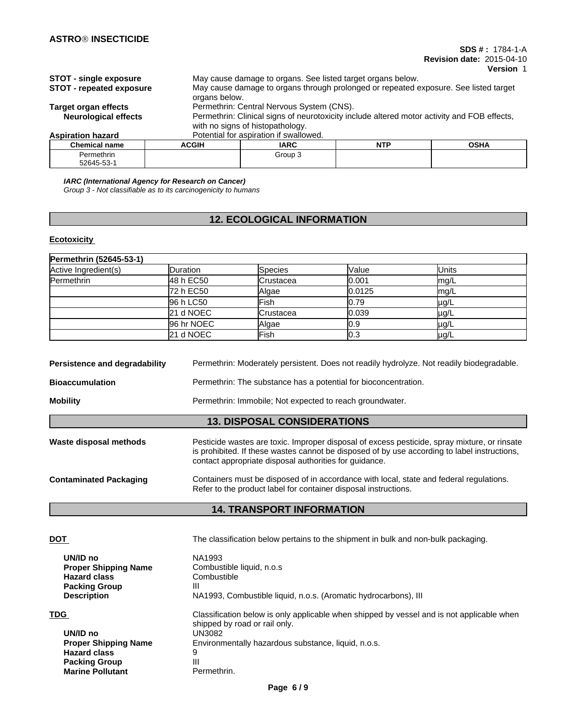### **SDS # :** 1784-1-A **Revision date:** 2015-04-10

**Version** 1

| <b>STOT - single exposure</b>   |                                           | May cause damage to organs. See listed target organs below.                                 |            |             |  |  |  |  |
|---------------------------------|-------------------------------------------|---------------------------------------------------------------------------------------------|------------|-------------|--|--|--|--|
| <b>STOT - repeated exposure</b> |                                           | May cause damage to organs through prolonged or repeated exposure. See listed target        |            |             |  |  |  |  |
|                                 | organs below.                             |                                                                                             |            |             |  |  |  |  |
| Target organ effects            | Permethrin: Central Nervous System (CNS). |                                                                                             |            |             |  |  |  |  |
| <b>Neurological effects</b>     |                                           | Permethrin: Clinical signs of neurotoxicity include altered motor activity and FOB effects, |            |             |  |  |  |  |
|                                 |                                           | with no signs of histopathology.                                                            |            |             |  |  |  |  |
| <b>Aspiration hazard</b>        |                                           | Potential for aspiration if swallowed.                                                      |            |             |  |  |  |  |
| Chemical name                   | <b>ACGIH</b>                              | IARC.                                                                                       | <b>NTP</b> | <b>OSHA</b> |  |  |  |  |

| <b>Chemical name</b>    | <b>ACGIH</b> | <b>IARC</b> | <b>NTF</b><br>. | <b>OCUA</b><br>אחט |
|-------------------------|--------------|-------------|-----------------|--------------------|
| Permethrin<br>52645-53- |              | Group 3     |                 |                    |

*IARC (International Agency for Research on Cancer)*

*Group 3 - Not classifiable as to its carcinogenicity to humans*

# **12. ECOLOGICAL INFORMATION**

# **Ecotoxicity**

| Permethrin (52645-53-1) |                  |                |         |              |  |  |
|-------------------------|------------------|----------------|---------|--------------|--|--|
| Active Ingredient(s)    | <b>IDuration</b> | <b>Species</b> | Value   | <b>Units</b> |  |  |
| Permethrin              | 48 h EC50        | Crustacea      | 10.001  | lmg/L        |  |  |
|                         | 72 h EC50        | Algae          | 10.0125 | lmg/L        |  |  |
|                         | 96 h LC50        | Fish           | l0.79   | $\mu$ g/L    |  |  |
|                         | 21 d NOEC        | Crustacea      | 0.039   | µg/L         |  |  |
|                         | 96 hr NOEC       | Algae          | 0.9     | µg/L         |  |  |
|                         | 21 d NOEC        | <b>IFish</b>   | 0.3     | $\mu$ g/L    |  |  |

| Permethrin: Moderately persistent. Does not readily hydrolyze. Not readily biodegradable.<br>Persistence and degradability |                                                                                                                                                                                                                                                        |  |  |  |  |
|----------------------------------------------------------------------------------------------------------------------------|--------------------------------------------------------------------------------------------------------------------------------------------------------------------------------------------------------------------------------------------------------|--|--|--|--|
| <b>Bioaccumulation</b><br>Permethrin: The substance has a potential for bioconcentration.                                  |                                                                                                                                                                                                                                                        |  |  |  |  |
| <b>Mobility</b>                                                                                                            | Permethrin: Immobile: Not expected to reach groundwater.                                                                                                                                                                                               |  |  |  |  |
|                                                                                                                            | <b>13. DISPOSAL CONSIDERATIONS</b>                                                                                                                                                                                                                     |  |  |  |  |
| Waste disposal methods                                                                                                     | Pesticide wastes are toxic. Improper disposal of excess pesticide, spray mixture, or rinsate<br>is prohibited. If these wastes cannot be disposed of by use according to label instructions,<br>contact appropriate disposal authorities for guidance. |  |  |  |  |
| <b>Contaminated Packaging</b>                                                                                              | Containers must be disposed of in accordance with local, state and federal regulations.<br>Refer to the product label for container disposal instructions.                                                                                             |  |  |  |  |

# **14. TRANSPORT INFORMATION**

| <b>DOT</b>                  | The classification below pertains to the shipment in bulk and non-bulk packaging.                                          |
|-----------------------------|----------------------------------------------------------------------------------------------------------------------------|
| UN/ID no                    | NA1993                                                                                                                     |
| <b>Proper Shipping Name</b> | Combustible liquid, n.o.s.                                                                                                 |
| <b>Hazard class</b>         | Combustible                                                                                                                |
| <b>Packing Group</b>        | Ш                                                                                                                          |
| <b>Description</b>          | NA1993, Combustible liquid, n.o.s. (Aromatic hydrocarbons), III                                                            |
| <b>TDG</b>                  | Classification below is only applicable when shipped by vessel and is not applicable when<br>shipped by road or rail only. |
| UN/ID no                    | UN3082                                                                                                                     |
| <b>Proper Shipping Name</b> | Environmentally hazardous substance, liquid, n.o.s.                                                                        |
| <b>Hazard class</b>         | 9                                                                                                                          |
| <b>Packing Group</b>        | Ш                                                                                                                          |
| <b>Marine Pollutant</b>     | Permethrin.                                                                                                                |
|                             |                                                                                                                            |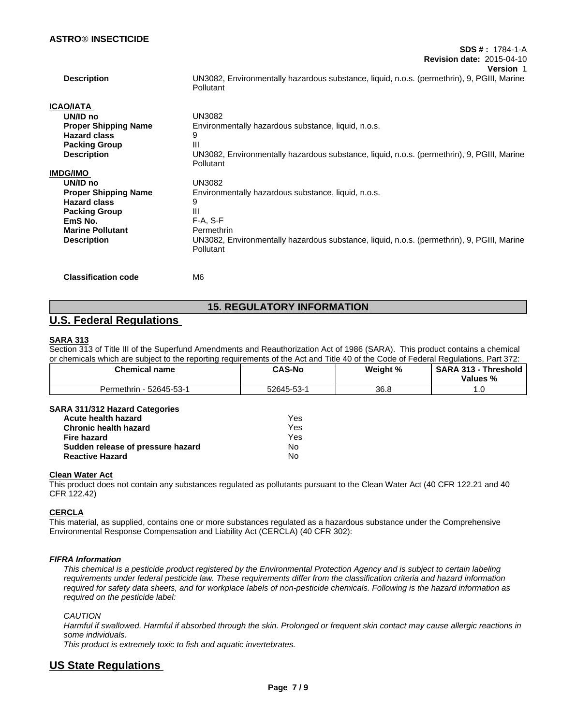|                             | <del>,,,,,,,,,,,,,,,,,,,,,,,,,,,,,,,,,,,,</del><br><b>Revision date: 2015-04-10</b>                     |
|-----------------------------|---------------------------------------------------------------------------------------------------------|
|                             | <b>Version 1</b>                                                                                        |
| <b>Description</b>          | UN3082, Environmentally hazardous substance, liquid, n.o.s. (permethrin), 9, PGIII, Marine<br>Pollutant |
| ICAO/IATA                   |                                                                                                         |
| UN/ID no                    | <b>UN3082</b>                                                                                           |
| <b>Proper Shipping Name</b> | Environmentally hazardous substance, liquid, n.o.s.                                                     |
| <b>Hazard class</b>         | 9                                                                                                       |
| <b>Packing Group</b>        | Ш                                                                                                       |
| <b>Description</b>          | UN3082, Environmentally hazardous substance, liquid, n.o.s. (permethrin), 9, PGIII, Marine<br>Pollutant |
| IMDG/IMO                    |                                                                                                         |
| UN/ID no                    | UN3082                                                                                                  |
| <b>Proper Shipping Name</b> | Environmentally hazardous substance, liquid, n.o.s.                                                     |
| <b>Hazard class</b>         | 9                                                                                                       |
| <b>Packing Group</b>        | $\mathbf{III}$                                                                                          |
| EmS No.                     | $F-A, S-F$                                                                                              |
| <b>Marine Pollutant</b>     | Permethrin                                                                                              |
| <b>Description</b>          | UN3082, Environmentally hazardous substance, liquid, n.o.s. (permethrin), 9, PGIII, Marine<br>Pollutant |
| <b>Classification code</b>  | M6                                                                                                      |

**SDS # :** 1784-1-A

# **15. REGULATORY INFORMATION**

# **U.S. Federal Regulations**

# **SARA 313**

Section 313 of Title III of the Superfund Amendments and Reauthorization Act of 1986 (SARA). This product contains a chemical or chemicals which are subject to the reporting requirements of the Act and Title 40 of the Code of Federal Regulations, Part 372:

| <b>Chemical name</b>     | <b>CAS-No</b>                                                 | Weight % | <b>SARA</b><br>. hreshold<br>242<br>$\overline{\phantom{a}}$<br>Values %<br>-70 |
|--------------------------|---------------------------------------------------------------|----------|---------------------------------------------------------------------------------|
| 52645-53-′<br>Permethrin | $\overline{\phantom{a}}$<br>$\sim$<br>52645<br>n-n <-<br>- มม | 36.8     | .                                                                               |

## **SARA 311/312 Hazard Categories**

| Acute health hazard               | Yes |
|-----------------------------------|-----|
| <b>Chronic health hazard</b>      | Yes |
| Fire hazard                       | Yes |
| Sudden release of pressure hazard | No  |
| <b>Reactive Hazard</b>            | No  |

## **Clean Water Act**

This product does not contain any substances regulated as pollutants pursuant to the Clean Water Act (40 CFR 122.21 and 40 CFR 122.42)

## **CERCLA**

This material, as supplied, contains one or more substances regulated as a hazardous substance under the Comprehensive Environmental Response Compensation and Liability Act (CERCLA) (40 CFR 302):

## *FIFRA Information*

*This chemical is a pesticide product registered by the Environmental Protection Agency and is subject to certain labeling requirements under federal pesticide law. These requirements differ from the classification criteria and hazard information required for safety data sheets, and for workplace labels of non-pesticide chemicals. Following is the hazard information as required on the pesticide label:*

### *CAUTION*

*Harmful if swallowed. Harmful if absorbed through the skin. Prolonged or frequent skin contact may cause allergic reactions in some individuals.*

*This product is extremely toxic to fish and aquatic invertebrates.*

# **US State Regulations**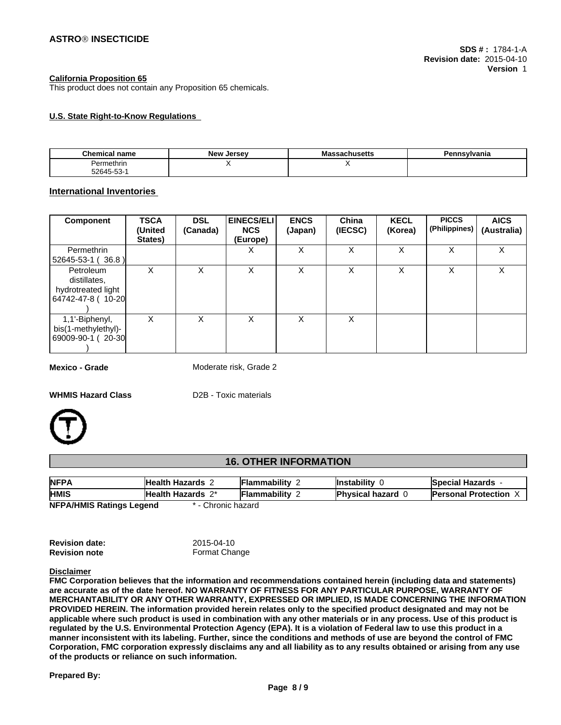### **California Proposition 65**

This product does not contain any Proposition 65 chemicals.

## **U.S. State Right-to-Know Regulations**

| <b>Chemical name</b> | - -<br><b>New</b><br>Jersev | Massachusetts | Pennsylvania |
|----------------------|-----------------------------|---------------|--------------|
| Permethrir           |                             |               |              |
| $52645 - 53 - 1$     |                             |               |              |

## **International Inventories**

| <b>Component</b>                                                     | <b>TSCA</b><br>(United<br>States) | <b>DSL</b><br>(Canada) | <b>EINECS/ELI</b><br><b>NCS</b><br>(Europe) | <b>ENCS</b><br>(Japan) | China<br>(IECSC) | <b>KECL</b><br>(Korea) | <b>PICCS</b><br>(Philippines) | <b>AICS</b><br>(Australia) |
|----------------------------------------------------------------------|-----------------------------------|------------------------|---------------------------------------------|------------------------|------------------|------------------------|-------------------------------|----------------------------|
| Permethrin<br>$ 52645-53-1(36.8) $                                   |                                   |                        | х                                           | X                      | X                | Χ                      | X                             | X                          |
| Petroleum<br>distillates.<br>hydrotreated light<br>64742-47-8 (10-20 | х                                 | X                      | X                                           | X                      | X                | X                      | ᄉ                             | X                          |
| 1,1'-Biphenyl,<br>bis(1-methylethyl)-<br>  69009-90-1(20-30          | X                                 | X                      | X                                           | x                      | X                |                        |                               |                            |

**Mexico - Grade** Moderate risk, Grade 2

**WHMIS Hazard Class** D2B - Toxic materials



# **16. OTHER INFORMATION**

| <b>NFPA</b>                                       | Health Hazards    | <b>Flammability</b> | Instability              | <b>Special Hazards</b>     |  |  |
|---------------------------------------------------|-------------------|---------------------|--------------------------|----------------------------|--|--|
| <b>HMIS</b>                                       | Health Hazards 2* | <b>Flammability</b> | <b>Physical hazard 6</b> | <b>Personal Protection</b> |  |  |
| Chronic hazard<br><b>NEDA/UMIC Datings Logand</b> |                   |                     |                          |                            |  |  |

**NFPA/HMIS Ratings Legend** \* - Chronic hazard

| <b>Revision date:</b> | 2015-04-10    |
|-----------------------|---------------|
| <b>Revision note</b>  | Format Change |

#### **Disclaimer**

**FMC Corporation believes that the information and recommendations contained herein (including data and statements) are accurate as of the date hereof. NO WARRANTY OF FITNESS FOR ANY PARTICULAR PURPOSE, WARRANTY OF MERCHANTABILITY OR ANY OTHER WARRANTY, EXPRESSED OR IMPLIED, IS MADE CONCERNING THE INFORMATION PROVIDED HEREIN. The information provided herein relates only to the specified product designated and may not be applicable where such product is used in combination with any other materials or in any process. Use of this product is regulated by the U.S. Environmental Protection Agency (EPA). It is a violation of Federal law to use this product in a manner inconsistent with its labeling. Further, since the conditions and methods of use are beyond the control of FMC Corporation, FMC corporation expressly disclaims any and all liability as to any results obtained or arising from any use of the products or reliance on such information.**